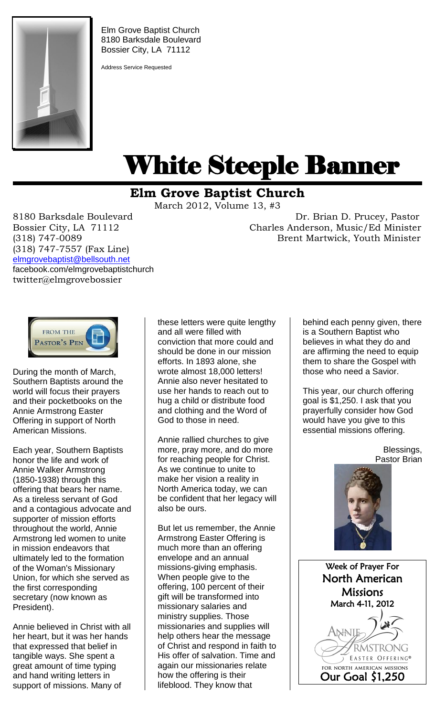

Elm Grove Baptist Church 8180 Barksdale Boulevard Bossier City, LA 71112

Address Service Requested

## White Steeple Banner ı

## **Elm Grove Baptist Church**

March 2012, Volume 13, #3

(318) 747-7557 (Fax Line) [elmgrovebaptist@bellsouth.net](mailto:elmgrovebaptist@bellsouth.net) facebook.com/elmgrovebaptistchurch twitter@elmgrovebossier

8180 Barksdale Boulevard Dr. Brian D. Prucey, Pastor Bossier City, LA 71112 Charles Anderson, Music/Ed Minister (318) 747-0089 Brent Martwick, Youth Minister



During the month of March, Southern Baptists around the world will focus their prayers and their pocketbooks on the Annie Armstrong Easter Offering in support of North American Missions.

Each year, Southern Baptists honor the life and work of Annie Walker Armstrong (1850-1938) through this offering that bears her name. As a tireless servant of God and a contagious advocate and supporter of mission efforts throughout the world, Annie Armstrong led women to unite in mission endeavors that ultimately led to the formation of the Woman's Missionary Union, for which she served as the first corresponding secretary (now known as President).

Annie believed in Christ with all her heart, but it was her hands that expressed that belief in tangible ways. She spent a great amount of time typing and hand writing letters in support of missions. Many of

these letters were quite lengthy and all were filled with conviction that more could and should be done in our mission efforts. In 1893 alone, she wrote almost 18,000 letters! Annie also never hesitated to use her hands to reach out to hug a child or distribute food and clothing and the Word of God to those in need.

Annie rallied churches to give more, pray more, and do more for reaching people for Christ. As we continue to unite to make her vision a reality in North America today, we can be confident that her legacy will also be ours.

But let us remember, the Annie Armstrong Easter Offering is much more than an offering envelope and an annual missions-giving emphasis. When people give to the offering, 100 percent of their gift will be transformed into missionary salaries and ministry supplies. Those missionaries and supplies will help others hear the message of Christ and respond in faith to His offer of salvation. Time and again our missionaries relate how the offering is their lifeblood. They know that

behind each penny given, there is a Southern Baptist who believes in what they do and are affirming the need to equip them to share the Gospel with those who need a Savior.

This year, our church offering goal is \$1,250. I ask that you prayerfully consider how God would have you give to this essential missions offering.

> Blessings, Pastor Brian



Week of Prayer For North American **Missions** March 4-11, 2012 Annie **RMSTRONG** FOR NORTH AMERICAN MISSIONS Our Goal \$1,250